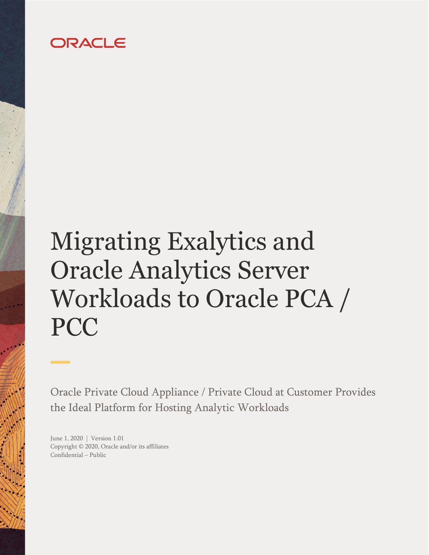## ORACLE

# <span id="page-0-0"></span>Migrating Exalytics and Oracle Analytics Server Workloads to Oracle PCA / PCC

Oracle Private Cloud Appliance / Private Cloud at Customer Provides the Ideal Platform for Hosting Analytic Workloads

<span id="page-0-3"></span><span id="page-0-2"></span><span id="page-0-1"></span>June 1, 2020 | Version 1.01 Copyright © 2020, Oracle and/or its affiliates Confidential – Public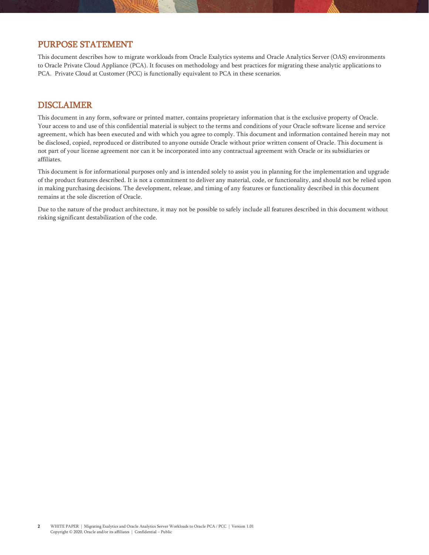## <span id="page-1-0"></span>PURPOSE STATEMENT

This document describes how to migrate workloads from Oracle Exalytics systems and Oracle Analytics Server (OAS) environments to Oracle Private Cloud Appliance (PCA). It focuses on methodology and best practices for migrating these analytic applications to PCA. Private Cloud at Customer (PCC) is functionally equivalent to PCA in these scenarios.

## <span id="page-1-1"></span>DISCLAIMER

This document in any form, software or printed matter, contains proprietary information that is the exclusive property of Oracle. Your access to and use of this confidential material is subject to the terms and conditions of your Oracle software license and service agreement, which has been executed and with which you agree to comply. This document and information contained herein may not be disclosed, copied, reproduced or distributed to anyone outside Oracle without prior written consent of Oracle. This document is not part of your license agreement nor can it be incorporated into any contractual agreement with Oracle or its subsidiaries or affiliates.

This document is for informational purposes only and is intended solely to assist you in planning for the implementation and upgrade of the product features described. It is not a commitment to deliver any material, code, or functionality, and should not be relied upon in making purchasing decisions. The development, release, and timing of any features or functionality described in this document remains at the sole discretion of Oracle.

Due to the nature of the product architecture, it may not be possible to safely include all features described in this document without risking significant destabilization of the code.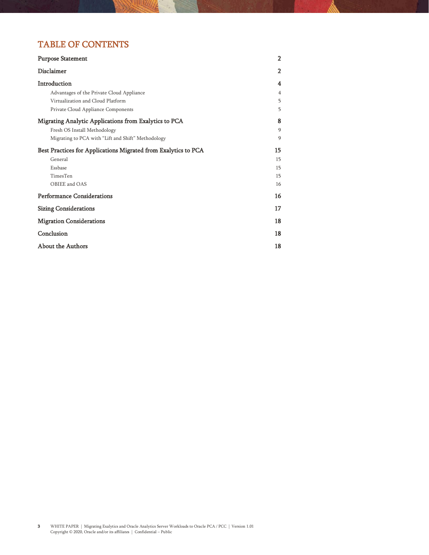## TABLE OF CONTENTS

| <b>Purpose Statement</b>                                       | $\overline{2}$ |
|----------------------------------------------------------------|----------------|
| Disclaimer                                                     | $\overline{2}$ |
| Introduction                                                   | 4              |
| Advantages of the Private Cloud Appliance                      | $\overline{4}$ |
| Virtualization and Cloud Platform                              | 5              |
| Private Cloud Appliance Components                             | 5              |
| Migrating Analytic Applications from Exalytics to PCA          | 8              |
| Fresh OS Install Methodology                                   | 9              |
| Migrating to PCA with "Lift and Shift" Methodology             | 9              |
| Best Practices for Applications Migrated from Exalytics to PCA | 15             |
| General                                                        | 15             |
| Essbase                                                        | 15             |
| TimesTen                                                       | 15             |
| OBIEE and OAS                                                  | 16             |
| <b>Performance Considerations</b>                              | 16             |
| <b>Sizing Considerations</b>                                   | 17             |
| <b>Migration Considerations</b>                                | 18             |
| Conclusion                                                     | 18             |
| <b>About the Authors</b>                                       | 18             |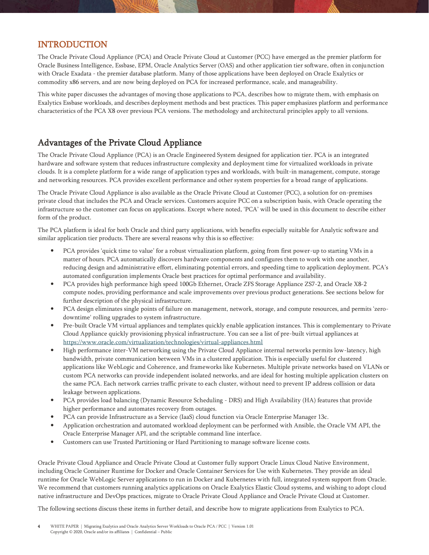## <span id="page-3-0"></span>INTRODUCTION

The Oracle Private Cloud Appliance (PCA) and Oracle Private Cloud at Customer (PCC) have emerged as the premier platform for Oracle Business Intelligence, Essbase, EPM, Oracle Analytics Server (OAS) and other application tier software, often in conjunction with Oracle Exadata - the premier database platform. Many of those applications have been deployed on Oracle Exalytics or commodity x86 servers, and are now being deployed on PCA for increased performance, scale, and manageability.

This white paper discusses the advantages of moving those applications to PCA, describes how to migrate them, with emphasis on Exalytics Essbase workloads, and describes deployment methods and best practices. This paper emphasizes platform and performance characteristics of the PCA X8 over previous PCA versions. The methodology and architectural principles apply to all versions.

## <span id="page-3-1"></span>Advantages of the Private Cloud Appliance

The Oracle Private Cloud Appliance (PCA) is an Oracle Engineered System designed for application tier. PCA is an integrated hardware and software system that reduces infrastructure complexity and deployment time for virtualized workloads in private clouds. It is a complete platform for a wide range of application types and workloads, with built-in management, compute, storage and networking resources. PCA provides excellent performance and other system properties for a broad range of applications.

The Oracle Private Cloud Appliance is also available as the Oracle Private Cloud at Customer (PCC), a solution for on-premises private cloud that includes the PCA and Oracle services. Customers acquire PCC on a subscription basis, with Oracle operating the infrastructure so the customer can focus on applications. Except where noted, 'PCA' will be used in this document to describe either form of the product.

The PCA platform is ideal for both Oracle and third party applications, with benefits especially suitable for Analytic software and similar application tier products. There are several reasons why this is so effective:

- PCA provides 'quick time to value' for a robust virtualization platform, going from first power-up to starting VMs in a matter of hours. PCA automatically discovers hardware components and configures them to work with one another, reducing design and administrative effort, eliminating potential errors, and speeding time to application deployment. PCA's automated configuration implements Oracle best practices for optimal performance and availability.
- PCA provides high performance high speed 100Gb Ethernet, Oracle ZFS Storage Appliance ZS7-2, and Oracle X8-2 compute nodes, providing performance and scale improvements over previous product generations. See sections below for further description of the physical infrastructure.
- PCA design eliminates single points of failure on management, network, storage, and compute resources, and permits 'zerodowntime' rolling upgrades to system infrastructure.
- Pre-built Oracle VM virtual appliances and templates quickly enable application instances. This is complementary to Private Cloud Appliance quickly provisioning physical infrastructure. You can see a list of pre-built virtual appliances at <https://www.oracle.com/virtualization/technologies/virtual-appliances.html>
- High performance inter-VM networking using the Private Cloud Appliance internal networks permits low-latency, high bandwidth, private communication between VMs in a clustered application. This is especially useful for clustered applications like WebLogic and Coherence, and frameworks like Kubernetes. Multiple private networks based on VLANs or custom PCA networks can provide independent isolated networks, and are ideal for hosting multiple application clusters on the same PCA. Each network carries traffic private to each cluster, without need to prevent IP address collision or data leakage between applications.
- PCA provides load balancing (Dynamic Resource Scheduling DRS) and High Availability (HA) features that provide higher performance and automates recovery from outages.
- PCA can provide Infrastructure as a Service (IaaS) cloud function via Oracle Enterprise Manager 13c.
- Application orchestration and automated workload deployment can be performed with Ansible, the Oracle VM API, the Oracle Enterprise Manager API, and the scriptable command line interface.
- Customers can use Trusted Partitioning or Hard Partitioning to manage software license costs.

Oracle Private Cloud Appliance and Oracle Private Cloud at Customer fully support Oracle Linux Cloud Native Environment, including Oracle Container Runtime for Docker and Oracle Container Services for Use with Kubernetes. They provide an ideal runtime for Oracle WebLogic Server applications to run in Docker and Kubernetes with full, integrated system support from Oracle. We recommend that customers running analytics applications on Oracle Exalytics Elastic Cloud systems, and wishing to adopt cloud native infrastructure and DevOps practices, migrate to Oracle Private Cloud Appliance and Oracle Private Cloud at Customer.

The following sections discuss these items in further detail, and describe how to migrate applications from Exalytics to PCA.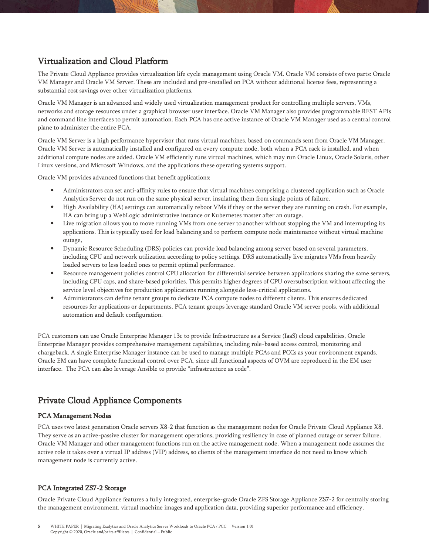## <span id="page-4-0"></span>Virtualization and Cloud Platform

The Private Cloud Appliance provides virtualization life cycle management using Oracle VM. Oracle VM consists of two parts: Oracle VM Manager and Oracle VM Server. These are included and pre-installed on PCA without additional license fees, representing a substantial cost savings over other virtualization platforms.

Oracle VM Manager is an advanced and widely used virtualization management product for controlling multiple servers, VMs, networks and storage resources under a graphical browser user interface. Oracle VM Manager also provides programmable REST APIs and command line interfaces to permit automation. Each PCA has one active instance of Oracle VM Manager used as a central control plane to administer the entire PCA.

Oracle VM Server is a high performance hypervisor that runs virtual machines, based on commands sent from Oracle VM Manager. Oracle VM Server is automatically installed and configured on every compute node, both when a PCA rack is installed, and when additional compute nodes are added. Oracle VM efficiently runs virtual machines, which may run Oracle Linux, Oracle Solaris, other Linux versions, and Microsoft Windows, and the applications these operating systems support.

Oracle VM provides advanced functions that benefit applications:

- Administrators can set anti-affinity rules to ensure that virtual machines comprising a clustered application such as Oracle Analytics Server do not run on the same physical server, insulating them from single points of failure.
- High Availability (HA) settings can automatically reboot VMs if they or the server they are running on crash. For example, HA can bring up a WebLogic administrative instance or Kubernetes master after an outage.
- Live migration allows you to move running VMs from one server to another without stopping the VM and interrupting its applications. This is typically used for load balancing and to perform compute node maintenance without virtual machine outage,
- Dynamic Resource Scheduling (DRS) policies can provide load balancing among server based on several parameters, including CPU and network utilization according to policy settings. DRS automatically live migrates VMs from heavily loaded servers to less loaded ones to permit optimal performance.
- Resource management policies control CPU allocation for differential service between applications sharing the same servers, including CPU caps, and share-based priorities. This permits higher degrees of CPU oversubscription without affecting the service level objectives for production applications running alongside less-critical applications.
- Administrators can define tenant groups to dedicate PCA compute nodes to different clients. This ensures dedicated resources for applications or departments. PCA tenant groups leverage standard Oracle VM server pools, with additional automation and default configuration.

PCA customers can use Oracle Enterprise Manager 13c to provide Infrastructure as a Service (IaaS) cloud capabilities, Oracle Enterprise Manager provides comprehensive management capabilities, including role-based access control, monitoring and chargeback. A single Enterprise Manager instance can be used to manage multiple PCAs and PCCs as your environment expands. Oracle EM can have complete functional control over PCA, since all functional aspects of OVM are reproduced in the EM user interface. The PCA can also leverage Ansible to provide "infrastructure as code".

## <span id="page-4-1"></span>Private Cloud Appliance Components

### PCA Management Nodes

PCA uses two latest generation Oracle servers X8-2 that function as the management nodes for Oracle Private Cloud Appliance X8. They serve as an active-passive cluster for management operations, providing resiliency in case of planned outage or server failure. Oracle VM Manager and other management functions run on the active management node. When a management node assumes the active role it takes over a virtual IP address (VIP) address, so clients of the management interface do not need to know which management node is currently active.

### PCA Integrated ZS7-2 Storage

Oracle Private Cloud Appliance features a fully integrated, enterprise-grade Oracle ZFS Storage Appliance ZS7-2 for centrally storing the management environment, virtual machine images and application data, providing superior performance and efficiency.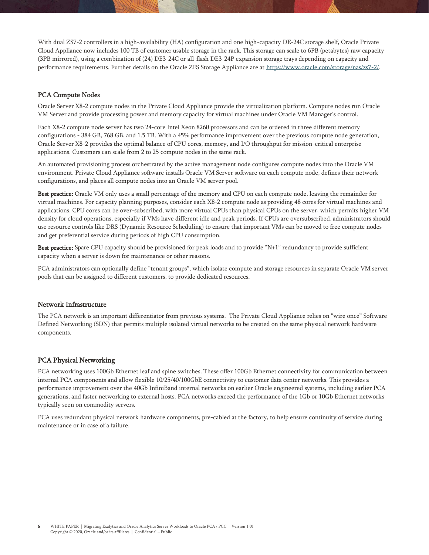With dual ZS7-2 controllers in a high-availability (HA) configuration and one high-capacity DE-24C storage shelf, Oracle Private Cloud Appliance now includes 100 TB of customer usable storage in the rack. This storage can scale to 6PB (petabytes) raw capacity (3PB mirrored), using a combination of (24) DE3-24C or all-flash DE3-24P expansion storage trays depending on capacity and performance requirements. Further details on the Oracle ZFS Storage Appliance are at [https://www.oracle.com/storage/nas/zs7-2/.](https://www.oracle.com/storage/nas/zs7-2/)

#### PCA Compute Nodes

Oracle Server X8-2 compute nodes in the Private Cloud Appliance provide the virtualization platform. Compute nodes run Oracle VM Server and provide processing power and memory capacity for virtual machines under Oracle VM Manager's control.

Each X8-2 compute node server has two 24-core Intel Xeon 8260 processors and can be ordered in three different memory configurations - 384 GB, 768 GB, and 1.5 TB. With a 45% performance improvement over the previous compute node generation, Oracle Server X8-2 provides the optimal balance of CPU cores, memory, and I/O throughput for mission-critical enterprise applications. Customers can scale from 2 to 25 compute nodes in the same rack.

An automated provisioning process orchestrated by the active management node configures compute nodes into the Oracle VM environment. Private Cloud Appliance software installs Oracle VM Server software on each compute node, defines their network configurations, and places all compute nodes into an Oracle VM server pool.

Best practice: Oracle VM only uses a small percentage of the memory and CPU on each compute node, leaving the remainder for virtual machines. For capacity planning purposes, consider each X8-2 compute node as providing 48 cores for virtual machines and applications. CPU cores can be over-subscribed, with more virtual CPUs than physical CPUs on the server, which permits higher VM density for cloud operations, especially if VMs have different idle and peak periods. If CPUs are oversubscribed, administrators should use resource controls like DRS (Dynamic Resource Scheduling) to ensure that important VMs can be moved to free compute nodes and get preferential service during periods of high CPU consumption.

Best practice: Spare CPU capacity should be provisioned for peak loads and to provide "N+1" redundancy to provide sufficient capacity when a server is down for maintenance or other reasons.

PCA administrators can optionally define "tenant groups", which isolate compute and storage resources in separate Oracle VM server pools that can be assigned to different customers, to provide dedicated resources.

#### Network Infrastructure

The PCA network is an important differentiator from previous systems. The Private Cloud Appliance relies on "wire once" Software Defined Networking (SDN) that permits multiple isolated virtual networks to be created on the same physical network hardware components.

#### PCA Physical Networking

PCA networking uses 100Gb Ethernet leaf and spine switches. These offer 100Gb Ethernet connectivity for communication between internal PCA components and allow flexible 10/25/40/100GbE connectivity to customer data center networks. This provides a performance improvement over the 40Gb InfiniBand internal networks on earlier Oracle engineered systems, including earlier PCA generations, and faster networking to external hosts. PCA networks exceed the performance of the 1Gb or 10Gb Ethernet networks typically seen on commodity servers.

PCA uses redundant physical network hardware components, pre-cabled at the factory, to help ensure continuity of service during maintenance or in case of a failure.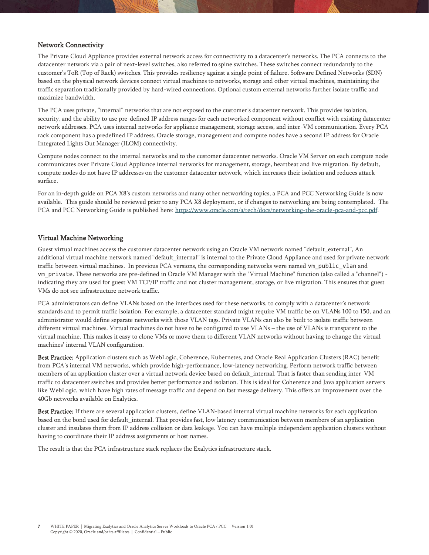#### Network Connectivity

The Private Cloud Appliance provides external network access for connectivity to a datacenter's networks. The PCA connects to the datacenter network via a pair of next-level switches, also referred to spine switches. These switches connect redundantly to the customer's ToR (Top of Rack) switches. This provides resiliency against a single point of failure. Software Defined Networks (SDN) based on the physical network devices connect virtual machines to networks, storage and other virtual machines, maintaining the traffic separation traditionally provided by hard-wired connections. Optional custom external networks further isolate traffic and maximize bandwidth.

The PCA uses private, "internal" networks that are not exposed to the customer's datacenter network. This provides isolation, security, and the ability to use pre-defined IP address ranges for each networked component without conflict with existing datacenter network addresses. PCA uses internal networks for appliance management, storage access, and inter-VM communication. Every PCA rack component has a predefined IP address. Oracle storage, management and compute nodes have a second IP address for Oracle Integrated Lights Out Manager (ILOM) connectivity.

Compute nodes connect to the internal networks and to the customer datacenter networks. Oracle VM Server on each compute node communicates over Private Cloud Appliance internal networks for management, storage, heartbeat and live migration. By default, compute nodes do not have IP addresses on the customer datacenter network, which increases their isolation and reduces attack surface.

For an in-depth guide on PCA X8's custom networks and many other networking topics, a PCA and PCC Networking Guide is now available. This guide should be reviewed prior to any PCA X8 deployment, or if changes to networking are being contemplated. The PCA and PCC Networking Guide is published here: [https://www.oracle.com/a/tech/docs/networking-the-oracle-pca-and-pcc.pdf.](https://www.oracle.com/a/tech/docs/networking-the-oracle-pca-and-pcc.pdf) 

#### Virtual Machine Networking

Guest virtual machines access the customer datacenter network using an Oracle VM network named "default\_external", An additional virtual machine network named "default\_internal" is internal to the Private Cloud Appliance and used for private network traffic between virtual machines. In previous PCA versions, the corresponding networks were named vm\_public\_vlan and vm private. These networks are pre-defined in Oracle VM Manager with the "Virtual Machine" function (also called a "channel") indicating they are used for guest VM TCP/IP traffic and not cluster management, storage, or live migration. This ensures that guest VMs do not see infrastructure network traffic.

PCA administrators can define VLANs based on the interfaces used for these networks, to comply with a datacenter's network standards and to permit traffic isolation. For example, a datacenter standard might require VM traffic be on VLANs 100 to 150, and an administrator would define separate networks with those VLAN tags. Private VLANs can also be built to isolate traffic between different virtual machines. Virtual machines do not have to be configured to use VLANs – the use of VLANs is transparent to the virtual machine. This makes it easy to clone VMs or move them to different VLAN networks without having to change the virtual machines' internal VLAN configuration.

Best Practice: Application clusters such as WebLogic, Coherence, Kubernetes, and Oracle Real Application Clusters (RAC) benefit from PCA's internal VM networks, which provide high-performance, low-latency networking. Perform network traffic between members of an application cluster over a virtual network device based on default\_internal. That is faster than sending inter-VM traffic to datacenter switches and provides better performance and isolation. This is ideal for Coherence and Java application servers like WebLogic, which have high rates of message traffic and depend on fast message delivery. This offers an improvement over the 40Gb networks available on Exalytics.

Best Practice: If there are several application clusters, define VLAN-based internal virtual machine networks for each application based on the bond used for default\_internal. That provides fast, low latency communication between members of an application cluster and insulates them from IP address collision or data leakage. You can have multiple independent application clusters without having to coordinate their IP address assignments or host names.

The result is that the PCA infrastructure stack replaces the Exalytics infrastructure stack.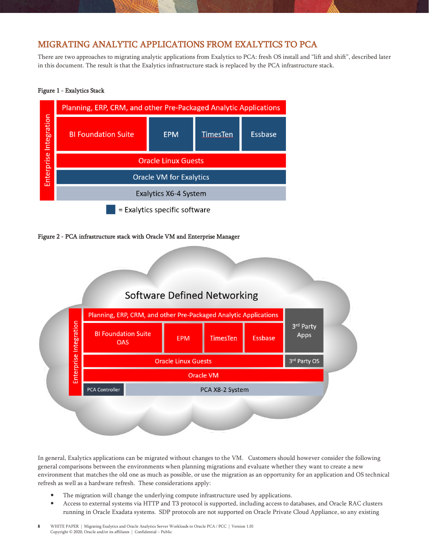## <span id="page-7-0"></span>MIGRATING ANALYTIC APPLICATIONS FROM EXALYTICS TO PCA

There are two approaches to migrating analytic applications from Exalytics to PCA: fresh OS install and "lift and shift", described later in this document. The result is that the Exalytics infrastructure stack is replaced by the PCA infrastructure stack.

#### Figure 1 - Exalytics Stack



#### Figure 2 - PCA infrastructure stack with Oracle VM and Enterprise Manager



In general, Exalytics applications can be migrated without changes to the VM. Customers should however consider the following general comparisons between the environments when planning migrations and evaluate whether they want to create a new environment that matches the old one as much as possible, or use the migration as an opportunity for an application and OS technical refresh as well as a hardware refresh. These considerations apply:

- The migration will change the underlying compute infrastructure used by applications.
- Access to external systems via HTTP and T3 protocol is supported, including access to databases, and Oracle RAC clusters running in Oracle Exadata systems. SDP protocols are not supported on Oracle Private Cloud Appliance, so any existing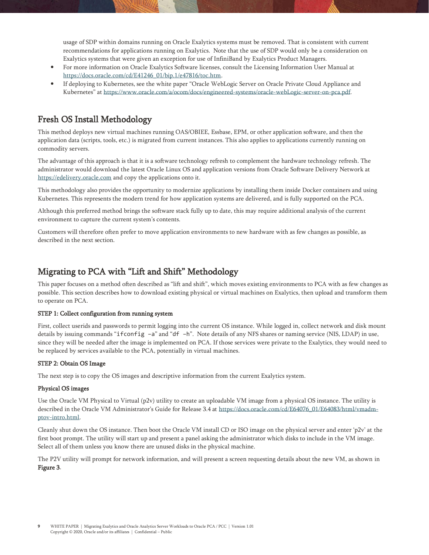usage of SDP within domains running on Oracle Exalytics systems must be removed. That is consistent with current recommendations for applications running on Exalytics. Note that the use of SDP would only be a consideration on Exalytics systems that were given an exception for use of InfiniBand by Exalytics Product Managers.

- For more information on Oracle Exalytics Software licenses, consult the Licensing Information User Manual at [https://docs.oracle.com/cd/E41246\\_01/bip.1/e47816/toc.htm.](https://docs.oracle.com/cd/E41246_01/bip.1/e47816/toc.htm)
- If deploying to Kubernetes, see the white paper "Oracle WebLogic Server on Oracle Private Cloud Appliance and Kubernetes" at [https://www.oracle.com/a/ocom/docs/engineered-systems/oracle-webLogic-server-on-pca.pdf.](https://www.oracle.com/a/ocom/docs/engineered-systems/oracle-webLogic-server-on-pca.pdf)

## <span id="page-8-0"></span>Fresh OS Install Methodology

This method deploys new virtual machines running OAS/OBIEE, Essbase, EPM, or other application software, and then the application data (scripts, tools, etc.) is migrated from current instances. This also applies to applications currently running on commodity servers.

The advantage of this approach is that it is a software technology refresh to complement the hardware technology refresh. The administrator would download the latest Oracle Linux OS and application versions from Oracle Software Delivery Network at [https://edelivery.oracle.com](https://edelivery.oracle.com/) and copy the applications onto it.

This methodology also provides the opportunity to modernize applications by installing them inside Docker containers and using Kubernetes. This represents the modern trend for how application systems are delivered, and is fully supported on the PCA.

Although this preferred method brings the software stack fully up to date, this may require additional analysis of the current environment to capture the current system's contents.

Customers will therefore often prefer to move application environments to new hardware with as few changes as possible, as described in the next section.

## <span id="page-8-1"></span>Migrating to PCA with "Lift and Shift" Methodology

This paper focuses on a method often described as "lift and shift", which moves existing environments to PCA with as few changes as possible. This section describes how to download existing physical or virtual machines on Exalytics, then upload and transform them to operate on PCA.

#### STEP 1: Collect configuration from running system

First, collect userids and passwords to permit logging into the current OS instance. While logged in, collect network and disk mount details by issuing commands "ifconfig –a" and "df –h". Note details of any NFS shares or naming service (NIS, LDAP) in use, since they will be needed after the image is implemented on PCA. If those services were private to the Exalytics, they would need to be replaced by services available to the PCA, potentially in virtual machines.

#### STEP 2: Obtain OS Image

The next step is to copy the OS images and descriptive information from the current Exalytics system.

#### Physical OS images

Use the Oracle VM Physical to Virtual (p2v) utility to create an uploadable VM image from a physical OS instance. The utility is described in the Oracle VM Administrator's Guide for Release 3.4 at [https://docs.oracle.com/cd/E64076\\_01/E64083/html/vmadm](https://docs.oracle.com/cd/E64076_01/E64083/html/vmadm-ptov-intro.html)[ptov-intro.html.](https://docs.oracle.com/cd/E64076_01/E64083/html/vmadm-ptov-intro.html)

Cleanly shut down the OS instance. Then boot the Oracle VM install CD or ISO image on the physical server and enter 'p2v' at the first boot prompt. The utility will start up and present a panel asking the administrator which disks to include in the VM image. Select all of them unless you know there are unused disks in the physical machine.

The P2V utility will prompt for network information, and will present a screen requesting details about the new VM, as shown in Figure 3.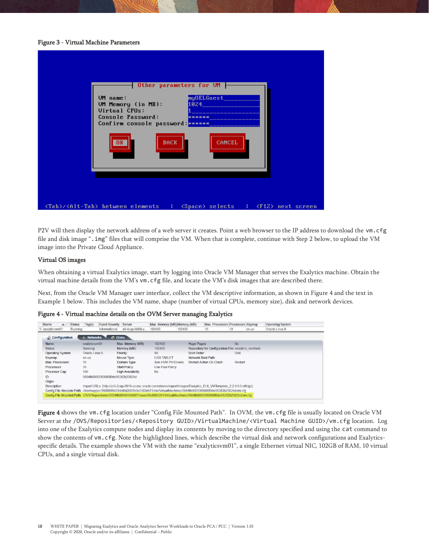#### Figure 3 - Virtual Machine Parameters

| Other parameters for UM                                                                                                                                   |
|-----------------------------------------------------------------------------------------------------------------------------------------------------------|
| myOELGuest___<br>UM name:<br>UM Memory (in MB):<br>1024 - 1024<br><b>Virtual CPUs:</b><br>Console Password:<br>******<br>Confirm console password: ****** |
| <b>BACK</b><br><b>CANCEL</b><br>0K                                                                                                                        |
| <tab>/<alt-tab> between elements {<br/><space> selects : <f12> next screen</f12></space></alt-tab></tab>                                                  |

P2V will then display the network address of a web server it creates. Point a web browser to the IP address to download the vm.cfg file and disk image ".img" files that will comprise the VM. When that is complete, continue with Step 2 below, to upload the VM image into the Private Cloud Appliance.

#### Virtual OS images

When obtaining a virtual Exalytics image, start by logging into Oracle VM Manager that serves the Exalytics machine. Obtain the virtual machine details from the VM's vm.cfg file, and locate the VM's disk images that are described there.

Next, from the Oracle VM Manager user interface, collect the VM descriptive information, as shown in Figure 4 and the text in Example 1 below. This includes the VM name, shape (number of virtual CPUs, memory size), disk and network devices.

Figure 4 - Virtual machine details on the OVM Server managing Exalytics

| Status<br>Name<br>$\triangle$                                                                                                        | Tag(s)            | Event Severity Server            |                    | Max. Memory (MB) Memory (MB)                                                                                          |             | Max. Processors Processors Keymap                     |             |       | Operating System |
|--------------------------------------------------------------------------------------------------------------------------------------|-------------------|----------------------------------|--------------------|-----------------------------------------------------------------------------------------------------------------------|-------------|-------------------------------------------------------|-------------|-------|------------------|
| exalyticsvm01<br>Running                                                                                                             |                   | Informational                    | x6-4cap-h004.u     | 102400                                                                                                                | 102400      | 10                                                    | 10          | en-us | Oracle Linux 6   |
| <b>d</b> Configuration                                                                                                               | <b>+ Networks</b> | <b>C</b> Disks                   |                    |                                                                                                                       |             |                                                       |             |       |                  |
| Name:                                                                                                                                | exalyticsym01     |                                  | Max. Memory (MB):  | 102400                                                                                                                | Huge Pages: |                                                       | <b>No</b>   |       |                  |
| Status:                                                                                                                              | Running           |                                  | Memory (MB):       | 102400                                                                                                                |             | Repository for Configuration File: exalytics nonflash |             |       |                  |
| Operating System:                                                                                                                    | Oracle Linux 6    |                                  | Priority:          | 50                                                                                                                    | Boot Order: |                                                       | <b>Disk</b> |       |                  |
| Keymap:                                                                                                                              | en-us             |                                  | Mouse Type:        | <b>USB TABLET</b>                                                                                                     |             | Network Boot Path:                                    |             |       |                  |
| Max Processors:                                                                                                                      | 10                |                                  | Domain Type:       | Xen HVM PV Drivers                                                                                                    |             | Restart Action On Crash:                              | Restart     |       |                  |
| Processors:                                                                                                                          | 10                |                                  | Start Policy:      | Use Pool Policy                                                                                                       |             |                                                       |             |       |                  |
| Processor Cap:                                                                                                                       | 100               |                                  | High Availability: | <b>No</b>                                                                                                             |             |                                                       |             |       |                  |
| ID:                                                                                                                                  |                   | 0004fb0000060000f0de95282b2382bd |                    |                                                                                                                       |             |                                                       |             |       |                  |
| Origin:                                                                                                                              |                   |                                  |                    |                                                                                                                       |             |                                                       |             |       |                  |
| Description:                                                                                                                         |                   |                                  |                    | Import URLs: [http://zs3-2cap-2018.us.osc.oracle.com/shares/export/images/Exalytics_EL6_VMTemplate_2.2.0.0.0.el6.tgz] |             |                                                       |             |       |                  |
| Config File Absolute Path: /dev/mapper/3600605b00bb80d2025b0e3103e6733de/VirtualMachines/0004fb0000060000f0de95282b2382bd/vm.cfg     |                   |                                  |                    |                                                                                                                       |             |                                                       |             |       |                  |
| Config File Mounted Path: /OVS/Repositories/0004fb000003000071eaae55c0063261/VirtualMachines/0004fb0000060000f0de95282b2382bd/vm.cfg |                   |                                  |                    |                                                                                                                       |             |                                                       |             |       |                  |

Figure 4 shows the vm.cfg location under "Config File Mounted Path". In OVM, the vm.cfg file is usually located on Oracle VM Server at the /OVS/Repositories/<Repository GUID>/VirtualMachine/<Virtual Machine GUID>/vm.cfg location. Log into one of the Exalytics compute nodes and display its contents by moving to the directory specified and using the cat command to show the contents of vm.cfg. Note the highlighted lines, which describe the virtual disk and network configurations and Exalyticsspecific details. The example shows the VM with the name "exalyticsvm01", a single Ethernet virtual NIC, 102GB of RAM, 10 virtual CPUs, and a single virtual disk.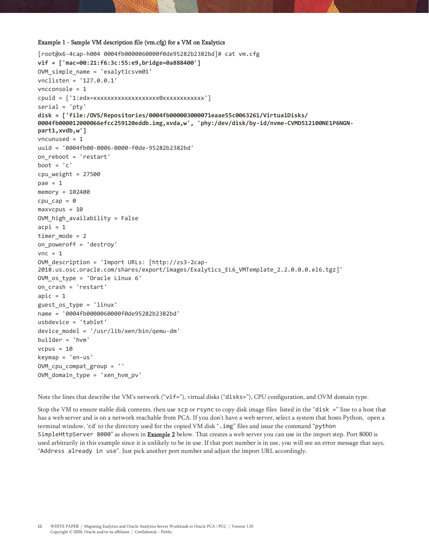#### Example 1 - Sample VM description file (vm.cfg) for a VM on Exalytics

```
[root@x6-4cap-h004 0004fb0000060000f0de95282b2382bd]# cat vm.cfg
vif = ['mac=00:21:f6:3c:55:e9,bridge=0a888400']
OVM_simple_name = 'exalyticsvm01'
vnclisten = '127.0.0.1'
vncconsole = 1
cpuid = ['1:edx=xxxxxxxxxxxxxxxxxxx0xxxxxxxxxxxx']
serial = 'pty'disk = ['file:/OVS/Repositories/0004fb000003000071eaae55c0063261/VirtualDisks/
0004fb000012000066efcc259120eddb.img,xvda,w', 'phy:/dev/disk/by-id/nvme-CVMD512100NE1P6NGN-
part1,xvdb,w']
vncunused = 1
uuid = '0004fb00-0006-0000-f0de-95282b2382bd'
on_reboot = 'restart'
boot = ^{\prime} c'
cpu\_weight = 27500pae = 1memory = 102400
cpu\_cap = 0maxvcpus = 10OVM high availability = False
acpi = 1timer mode = 2on_poweroff = 'destroy'
vnc = 1OVM_description = 'Import URLs: [http://zs3-2cap-
2018.us.osc.oracle.com/shares/export/images/Exalytics_EL6_VMTemplate_2.2.0.0.0.el6.tgz]'
OVM_os_type = 'Oracle Linux 6'
on_crash = 'restart'
apic = 1guest_os_type = 'linux'
name = '0004fb0000060000f0de95282b2382bd'
usbdevice = 'tablet'
device_model = '/usr/lib/xen/bin/qemu-dm'
builder = 'hvm'
vcpus = 10keymap = 'en-us'
OVM_cpu_compat_group = ''
OVM domain type = 'xen hvm pv'
```
Note the lines that describe the VM's network ("vif="), virtual disks ("disks="), CPU configuration, and OVM domain type.

Stop the VM to ensure stable disk contents, then use scp or rsync to copy disk image files listed in the "disk =" line to a host that has a web server and is on a network reachable from PCA. If you don't have a web server, select a system that hosts Python, open a terminal window, 'cd' to the directory used for the copied VM disk ".img" files and issue the command "python SimpleHttpServer 8000" as shown in Example 2 below. That creates a web server you can use in the import step. Port 8000 is used arbitrarily in this example since it is unlikely to be in use. If that port number is in use, you will see an error message that says, "Address already in use". Just pick another port number and adjust the import URL accordingly.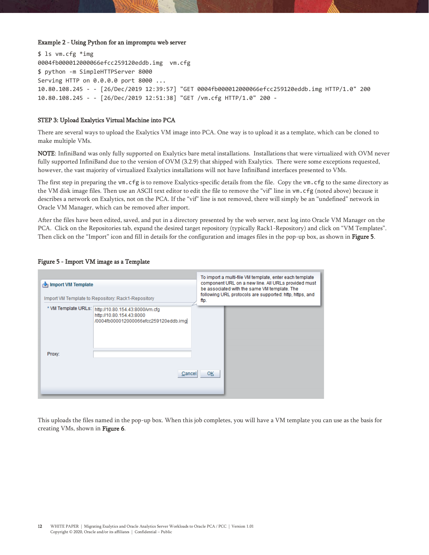#### Example 2 - Using Python for an impromptu web server

```
$ ls vm.cfg *img
0004fb000012000066efcc259120eddb.img vm.cfg
$ python -m SimpleHTTPServer 8000
Serving HTTP on 0.0.0.0 port 8000 ...
10.80.108.245 - - [26/Dec/2019 12:39:57] "GET 0004fb000012000066efcc259120eddb.img HTTP/1.0" 200
10.80.108.245 - - [26/Dec/2019 12:51:38] "GET /vm.cfg HTTP/1.0" 200 -
```
#### STEP 3: Upload Exalytics Virtual Machine into PCA

There are several ways to upload the Exalytics VM image into PCA. One way is to upload it as a template, which can be cloned to make multiple VMs.

NOTE: InfiniBand was only fully supported on Exalytics bare metal installations. Installations that were virtualized with OVM never fully supported InfiniBand due to the version of OVM (3.2.9) that shipped with Exalytics. There were some exceptions requested, however, the vast majority of virtualized Exalytics installations will not have InfiniBand interfaces presented to VMs.

The first step in preparing the vm.cfg is to remove Exalytics-specific details from the file. Copy the vm.cfg to the same directory as the VM disk image files. Then use an ASCII text editor to edit the file to remove the "vif" line in vm.cfg (noted above) because it describes a network on Exalytics, not on the PCA. If the "vif" line is not removed, there will simply be an "undefined" network in Oracle VM Manager, which can be removed after import.

After the files have been edited, saved, and put in a directory presented by the web server, next log into Oracle VM Manager on the PCA. Click on the Repositories tab, expand the desired target repository (typically Rack1-Repository) and click on "VM Templates". Then click on the "Import" icon and fill in details for the configuration and images files in the pop-up box, as shown in **Figure 5**.

#### Figure 5 - Import VM image as a Template

| Import VM Template | Import VM Template to Repository: Rack1-Repository                                                                       | To import a multi-file VM template, enter each template<br>component URL on a new line. All URLs provided must<br>be associated with the same VM template. The<br>following URL protocols are supported: http, https, and<br>ftp. |  |  |  |
|--------------------|--------------------------------------------------------------------------------------------------------------------------|-----------------------------------------------------------------------------------------------------------------------------------------------------------------------------------------------------------------------------------|--|--|--|
| Proxy:             | * VM Template URLs: http://10.80.154.43:8000/vm.cfg<br>http://10.80.154.43:8000<br>/0004fb000012000066efcc259120eddb.img |                                                                                                                                                                                                                                   |  |  |  |
|                    | Cancel                                                                                                                   | OK                                                                                                                                                                                                                                |  |  |  |

This uploads the files named in the pop-up box. When this job completes, you will have a VM template you can use as the basis for creating VMs, shown in Figure 6.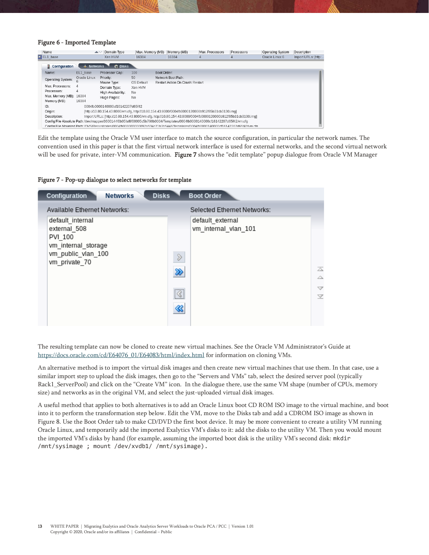#### Figure 6 - Imported Template

| Name                    |                          | Domain Type<br>$\blacktriangle \triangledown$                                                                                 | Max. Memory (MB) |             | Memory (MB)                      | Max. Processors | Processors | <b>Operating System</b> | Description         |
|-------------------------|--------------------------|-------------------------------------------------------------------------------------------------------------------------------|------------------|-------------|----------------------------------|-----------------|------------|-------------------------|---------------------|
| $\sqrt{E}$ EL1 base     |                          | Xen HVM                                                                                                                       | 16384            |             | 16384                            | 4               |            | Oracle Linux 6          | Import URLs: [http: |
| <b>E</b> Configuration  | $\frac{1}{2}$ . Networks | <b>C</b> Disks                                                                                                                |                  |             |                                  |                 |            |                         |                     |
| Name:                   | EL1 base                 | Processor Cap:                                                                                                                | 100              | Boot Order: |                                  |                 |            |                         |                     |
| Operating System:       | Oracle Linux             | Priority:                                                                                                                     | 50               |             | Network Boot Path:               |                 |            |                         |                     |
|                         | ь                        | Mouse Type:                                                                                                                   | OS Default       |             | Restart Action On Crash: Restart |                 |            |                         |                     |
| Max. Processors:        | 4                        | Domain Type:                                                                                                                  | Xen HVM          |             |                                  |                 |            |                         |                     |
| Processors:             | 4                        | High Availability:                                                                                                            | No               |             |                                  |                 |            |                         |                     |
| Max. Memory (MB): 16384 |                          | Huge Pages:                                                                                                                   | No               |             |                                  |                 |            |                         |                     |
| Memory (MB):            | 16384                    |                                                                                                                               |                  |             |                                  |                 |            |                         |                     |
| ID:                     |                          | 0004fb0000140000cf16142207d65f42                                                                                              |                  |             |                                  |                 |            |                         |                     |
| Origin:                 |                          | [http://10.80.154.43:8000/vm.cfq, http://10.80.154.43:8000/0004fb0000120000b912f85b31cb3130.imq]                              |                  |             |                                  |                 |            |                         |                     |
| Description:            |                          | Import URLs: [http://10.80.154.43:8000/vm.cfg, http://10.80.154.43:8000/0004fb0000120000b912f85b31cb3130.imq]                 |                  |             |                                  |                 |            |                         |                     |
|                         |                          | Config File Absolute Path:/dev/mapper/3600144f0b05faf8f00005c5b790b0004/Templates/0004fb0000140000cf16142207d65f42/vm.cfg     |                  |             |                                  |                 |            |                         |                     |
|                         |                          | Confin File Mounted Path: /OVS/Repositories/0004fb000003000092a534c71b3b5446/Templates/0004fb0000140000cf16142207d65f42Am.cfn |                  |             |                                  |                 |            |                         |                     |

Edit the template using the Oracle VM user interface to match the source configuration, in particular the network names. The convention used in this paper is that the first virtual network interface is used for external networks, and the second virtual network will be used for private, inter-VM communication. Figure 7 shows the "edit template" popup dialogue from Oracle VM Manager

#### Figure 7 - Pop-up dialogue to select networks for template

| <b>Disks</b><br><b>Networks</b><br>Configuration                                                          | <b>Boot Order</b>                                                                                                                         |
|-----------------------------------------------------------------------------------------------------------|-------------------------------------------------------------------------------------------------------------------------------------------|
| Available Ethernet Networks:                                                                              | Selected Ethernet Networks:                                                                                                               |
| default internal<br>external 508<br>PVI 100<br>vm_internal_storage<br>vm public vlan 100<br>vm private 70 | default external<br>vm internal vlan 101<br>$\mathcal{D}$<br>$\overline{\triangle}$<br>≫<br>Δ<br>$\triangledown$<br><br>$\overline{\vee}$ |

The resulting template can now be cloned to create new virtual machines. See the Oracle VM Administrator's Guide at [https://docs.oracle.com/cd/E64076\\_01/E64083/html/index.html](https://docs.oracle.com/cd/E64076_01/E64083/html/index.html) for information on cloning VMs.

An alternative method is to import the virtual disk images and then create new virtual machines that use them. In that case, use a similar import step to upload the disk images, then go to the "Servers and VMs" tab, select the desired server pool (typically Rack1\_ServerPool) and click on the "Create VM" icon. In the dialogue there, use the same VM shape (number of CPUs, memory size) and networks as in the original VM, and select the just-uploaded virtual disk images.

A useful method that applies to both alternatives is to add an Oracle Linux boot CD ROM ISO image to the virtual machine, and boot into it to perform the transformation step below. Edit the VM, move to the Disks tab and add a CDROM ISO image as shown in Figure 8. Use the Boot Order tab to make CD/DVD the first boot device. It may be more convenient to create a utility VM running Oracle Linux, and temporarily add the imported Exalytics VM's disks to it: add the disks to the utility VM. Then you would mount the imported VM's disks by hand (for example, assuming the imported boot disk is the utility VM's second disk: mkdir /mnt/sysimage ; mount /dev/xvdb1/ /mnt/sysimage).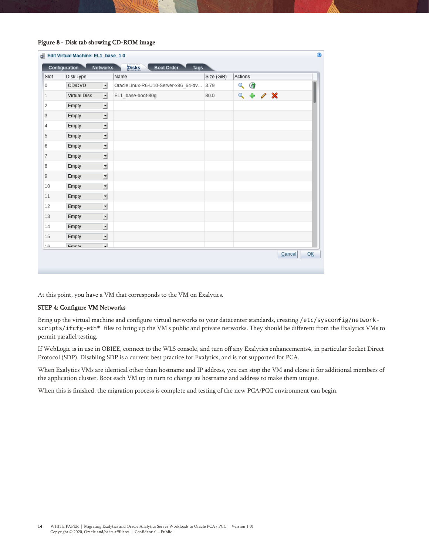#### Figure 8 - Disk tab showing CD-ROM image

| Slot | Disk Type    |                         | Name                                     | Size (GiB) | Actions |           |  |  |
|------|--------------|-------------------------|------------------------------------------|------------|---------|-----------|--|--|
| 0    | CD/DVD       | 케                       | OracleLinux-R6-U10-Server-x86_64-dv 3.79 |            |         | $\sim$ 6  |  |  |
| 1    | Virtual Disk | 킈                       | EL1 base-boot-80g                        | 80.0       |         | $9 + 7 x$ |  |  |
| 2    | Empty        | 킈                       |                                          |            |         |           |  |  |
| 3    | Empty        | 비                       |                                          |            |         |           |  |  |
| 4    | Empty        | 킈                       |                                          |            |         |           |  |  |
| 5    | Empty        | 킈                       |                                          |            |         |           |  |  |
| 6    | Empty        | 킈                       |                                          |            |         |           |  |  |
| 7    | Empty        | 킈                       |                                          |            |         |           |  |  |
| 8    | Empty        | 킈                       |                                          |            |         |           |  |  |
| 9    | Empty        | 킈                       |                                          |            |         |           |  |  |
| 10   | Empty        | 킈                       |                                          |            |         |           |  |  |
| 11   | Empty        | 킈                       |                                          |            |         |           |  |  |
| 12   | Empty        | 킈                       |                                          |            |         |           |  |  |
| 13   | Empty        | 킈                       |                                          |            |         |           |  |  |
| 14   | Empty        | 킈                       |                                          |            |         |           |  |  |
| 15   | Empty        | 킈                       |                                          |            |         |           |  |  |
| 16   | Emnty        | $\overline{\mathbf{t}}$ |                                          |            |         |           |  |  |

At this point, you have a VM that corresponds to the VM on Exalytics.

#### STEP 4: Configure VM Networks

Bring up the virtual machine and configure virtual networks to your datacenter standards, creating /etc/sysconfig/networkscripts/ifcfg-eth\* files to bring up the VM's public and private networks. They should be different from the Exalytics VMs to permit parallel testing.

If WebLogic is in use in OBIEE, connect to the WLS console, and turn off any Exalytics enhancements4, in particular Socket Direct Protocol (SDP). Disabling SDP is a current best practice for Exalytics, and is not supported for PCA.

When Exalytics VMs are identical other than hostname and IP address, you can stop the VM and clone it for additional members of the application cluster. Boot each VM up in turn to change its hostname and address to make them unique.

When this is finished, the migration process is complete and testing of the new PCA/PCC environment can begin.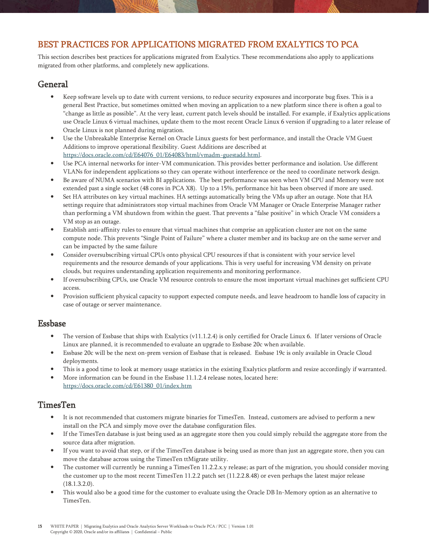## <span id="page-14-0"></span>BEST PRACTICES FOR APPLICATIONS MIGRATED FROM EXALYTICS TO PCA

This section describes best practices for applications migrated from Exalytics. These recommendations also apply to applications migrated from other platforms, and completely new applications.

## <span id="page-14-1"></span>General

- Keep software levels up to date with current versions, to reduce security exposures and incorporate bug fixes. This is a general Best Practice, but sometimes omitted when moving an application to a new platform since there is often a goal to "change as little as possible". At the very least, current patch levels should be installed. For example, if Exalytics applications use Oracle Linux 6 virtual machines, update them to the most recent Oracle Linux 6 version if upgrading to a later release of Oracle Linux is not planned during migration.
- Use the Unbreakable Enterprise Kernel on Oracle Linux guests for best performance, and install the Oracle VM Guest Additions to improve operational flexibility. Guest Additions are described at [https://docs.oracle.com/cd/E64076\\_01/E64083/html/vmadm-guestadd.html.](https://docs.oracle.com/cd/E64076_01/E64083/html/vmadm-guestadd.html)
- Use PCA internal networks for inter-VM communication. This provides better performance and isolation. Use different VLANs for independent applications so they can operate without interference or the need to coordinate network design.
- Be aware of NUMA scenarios with BI applications. The best performance was seen when VM CPU and Memory were not extended past a single socket (48 cores in PCA X8). Up to a 15%, performance hit has been observed if more are used.
- Set HA attributes on key virtual machines. HA settings automatically bring the VMs up after an outage. Note that HA settings require that administrators stop virtual machines from Oracle VM Manager or Oracle Enterprise Manager rather than performing a VM shutdown from within the guest. That prevents a "false positive" in which Oracle VM considers a VM stop as an outage.
- Establish anti-affinity rules to ensure that virtual machines that comprise an application cluster are not on the same compute node. This prevents "Single Point of Failure" where a cluster member and its backup are on the same server and can be impacted by the same failure
- Consider oversubscribing virtual CPUs onto physical CPU resources if that is consistent with your service level requirements and the resource demands of your applications. This is very useful for increasing VM density on private clouds, but requires understanding application requirements and monitoring performance.
- If oversubscribing CPUs, use Oracle VM resource controls to ensure the most important virtual machines get sufficient CPU access.
- Provision sufficient physical capacity to support expected compute needs, and leave headroom to handle loss of capacity in case of outage or server maintenance.

## <span id="page-14-2"></span>Essbase

- The version of Essbase that ships with Exalytics (v11.1.2.4) is only certified for Oracle Linux 6. If later versions of Oracle Linux are planned, it is recommended to evaluate an upgrade to Essbase 20c when available.
- Essbase 20c will be the next on-prem version of Essbase that is released. Essbase 19c is only available in Oracle Cloud deployments.
- This is a good time to look at memory usage statistics in the existing Exalytics platform and resize accordingly if warranted.
- More information can be found in the Essbase 11.1.2.4 release notes, located here: [https://docs.oracle.com/cd/E61380\\_01/index.htm](https://docs.oracle.com/cd/E61380_01/index.htm)

## <span id="page-14-3"></span>TimesTen

- It is not recommended that customers migrate binaries for TimesTen. Instead, customers are advised to perform a new install on the PCA and simply move over the database configuration files.
- If the TimesTen database is just being used as an aggregate store then you could simply rebuild the aggregate store from the source data after migration.
- If you want to avoid that step, or if the TimesTen database is being used as more than just an aggregate store, then you can move the database across using the TimesTen ttMigrate utility.
- The customer will currently be running a TimesTen 11.2.2.x.y release; as part of the migration, you should consider moving the customer up to the most recent TimesTen 11.2.2 patch set (11.2.2.8.48) or even perhaps the latest major release (18.1.3.2.0).
- This would also be a good time for the customer to evaluate using the Oracle DB In-Memory option as an alternative to TimesTen.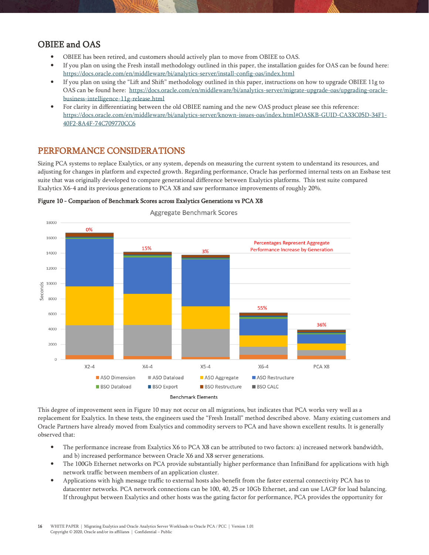## <span id="page-15-0"></span>OBIEE and OAS

- OBIEE has been retired, and customers should actively plan to move from OBIEE to OAS.
- If you plan on using the Fresh install methodology outlined in this paper, the installation guides for OAS can be found here: <https://docs.oracle.com/en/middleware/bi/analytics-server/install-config-oas/index.html>
- If you plan on using the "Lift and Shift" methodology outlined in this paper, instructions on how to upgrade OBIEE 11g to OAS can be found here: [https://docs.oracle.com/en/middleware/bi/analytics-server/migrate-upgrade-oas/upgrading-oracle](https://docs.oracle.com/en/middleware/bi/analytics-server/migrate-upgrade-oas/upgrading-oracle-business-intelligence-11g-release.html)[business-intelligence-11g-release.html](https://docs.oracle.com/en/middleware/bi/analytics-server/migrate-upgrade-oas/upgrading-oracle-business-intelligence-11g-release.html)
- For clarity in differentiating between the old OBIEE naming and the new OAS product please see this reference: [https://docs.oracle.com/en/middleware/bi/analytics-server/known-issues-oas/index.html#OASKB-GUID-CA33C05D-34F1-](https://docs.oracle.com/en/middleware/bi/analytics-server/known-issues-oas/index.html#OASKB-GUID-CA33C05D-34F1-40F2-8A4F-74C709770CC6) [40F2-8A4F-74C709770CC6](https://docs.oracle.com/en/middleware/bi/analytics-server/known-issues-oas/index.html#OASKB-GUID-CA33C05D-34F1-40F2-8A4F-74C709770CC6)

## <span id="page-15-1"></span>PERFORMANCE CONSIDERATIONS

Sizing PCA systems to replace Exalytics, or any system, depends on measuring the current system to understand its resources, and adjusting for changes in platform and expected growth. Regarding performance, Oracle has performed internal tests on an Essbase test suite that was originally developed to compare generational difference between Exalytics platforms. This test suite compared Exalytics X6-4 and its previous generations to PCA X8 and saw performance improvements of roughly 20%.



Figure 10 - Comparison of Benchmark Scores across Exalytics Generations vs PCA X8

This degree of improvement seen in Figure 10 may not occur on all migrations, but indicates that PCA works very well as a replacement for Exalytics. In these tests, the engineers used the "Fresh Install" method described above. Many existing customers and Oracle Partners have already moved from Exalytics and commodity servers to PCA and have shown excellent results. It is generally observed that:

- The performance increase from Exalytics X6 to PCA X8 can be attributed to two factors: a) increased network bandwidth, and b) increased performance between Oracle X6 and X8 server generations.
- The 100Gb Ethernet networks on PCA provide substantially higher performance than InfiniBand for applications with high network traffic between members of an application cluster.
- Applications with high message traffic to external hosts also benefit from the faster external connectivity PCA has to datacenter networks. PCA network connections can be 100, 40, 25 or 10Gb Ethernet, and can use LACP for load balancing. If throughput between Exalytics and other hosts was the gating factor for performance, PCA provides the opportunity for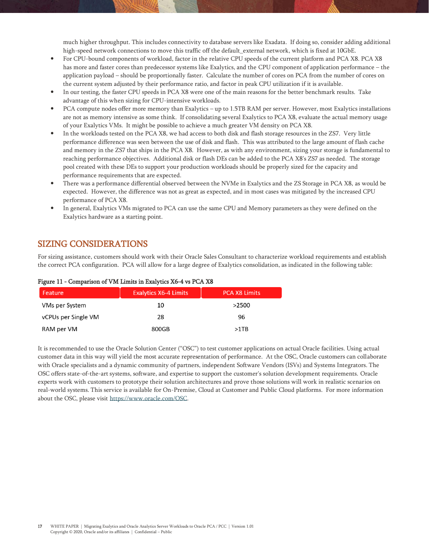much higher throughput. This includes connectivity to database servers like Exadata. If doing so, consider adding additional high-speed network connections to move this traffic off the default\_external network, which is fixed at 10GbE.

- For CPU-bound components of workload, factor in the relative CPU speeds of the current platform and PCA X8. PCA X8 has more and faster cores than predecessor systems like Exalytics, and the CPU component of application performance – the application payload – should be proportionally faster. Calculate the number of cores on PCA from the number of cores on the current system adjusted by their performance ratio, and factor in peak CPU utilization if it is available.
- In our testing, the faster CPU speeds in PCA X8 were one of the main reasons for the better benchmark results. Take advantage of this when sizing for CPU-intensive workloads.
- PCA compute nodes offer more memory than Exalytics up to 1.5TB RAM per server. However, most Exalytics installations are not as memory intensive as some think. If consolidating several Exalytics to PCA X8, evaluate the actual memory usage of your Exalytics VMs. It might be possible to achieve a much greater VM density on PCA X8.
- In the workloads tested on the PCA X8, we had access to both disk and flash storage resources in the ZS7. Very little performance difference was seen between the use of disk and flash. This was attributed to the large amount of flash cache and memory in the ZS7 that ships in the PCA X8. However, as with any environment, sizing your storage is fundamental to reaching performance objectives. Additional disk or flash DEs can be added to the PCA X8's ZS7 as needed. The storage pool created with these DEs to support your production workloads should be properly sized for the capacity and performance requirements that are expected.
- There was a performance differential observed between the NVMe in Exalytics and the ZS Storage in PCA X8, as would be expected. However, the difference was not as great as expected, and in most cases was mitigated by the increased CPU performance of PCA X8.
- In general, Exalytics VMs migrated to PCA can use the same CPU and Memory parameters as they were defined on the Exalytics hardware as a starting point.

## <span id="page-16-0"></span>SIZING CONSIDERATIONS

For sizing assistance, customers should work with their Oracle Sales Consultant to characterize workload requirements and establish the correct PCA configuration. PCA will allow for a large degree of Exalytics consolidation, as indicated in the following table:

| Feature                    | <b>Exalytics X6-4 Limits</b> | <b>PCA X8 Limits</b> |
|----------------------------|------------------------------|----------------------|
| VMs per System             | 10                           | >2500                |
| <b>vCPUs per Single VM</b> | 28                           | 96                   |
| RAM per VM                 | 800GB                        | >1TB                 |

#### Figure 11 - Comparison of VM Limits in Exalytics X6-4 vs PCA X8

It is recommended to use the Oracle Solution Center ("OSC") to test customer applications on actual Oracle facilities. Using actual customer data in this way will yield the most accurate representation of performance. At the OSC, Oracle customers can collaborate with Oracle specialists and a dynamic community of partners, independent Software Vendors (ISVs) and Systems Integrators. The OSC offers state-of-the-art systems, software, and expertise to support the customer's solution development requirements. Oracle experts work with customers to prototype their solution architectures and prove those solutions will work in realistic scenarios on real-world systems. This service is available for On-Premise, Cloud at Customer and Public Cloud platforms. For more information about the OSC, please visi[t https://www.oracle.com/OSC.](https://www.oracle.com/OSC)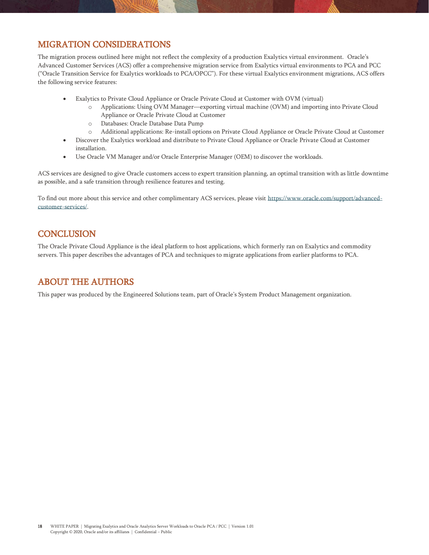## <span id="page-17-0"></span>MIGRATION CONSIDERATIONS

The migration process outlined here might not reflect the complexity of a production Exalytics virtual environment. Oracle's Advanced Customer Services (ACS) offer a comprehensive migration service from Exalytics virtual environments to PCA and PCC ("Oracle Transition Service for Exalytics workloads to PCA/OPCC"). For these virtual Exalytics environment migrations, ACS offers the following service features:

- Exalytics to Private Cloud Appliance or Oracle Private Cloud at Customer with OVM (virtual)
	- o Applications: Using OVM Manager—exporting virtual machine (OVM) and importing into Private Cloud Appliance or Oracle Private Cloud at Customer
	- o Databases: Oracle Database Data Pump
	- o Additional applications: Re-install options on Private Cloud Appliance or Oracle Private Cloud at Customer
- Discover the Exalytics workload and distribute to Private Cloud Appliance or Oracle Private Cloud at Customer installation.
- Use Oracle VM Manager and/or Oracle Enterprise Manager (OEM) to discover the workloads.

ACS services are designed to give Oracle customers access to expert transition planning, an optimal transition with as little downtime as possible, and a safe transition through resilience features and testing.

To find out more about this service and other complimentary ACS services, please visit [https://www.oracle.com/support/advanced](https://www.oracle.com/support/advanced-customer-services/)[customer-services/.](https://www.oracle.com/support/advanced-customer-services/)

## <span id="page-17-1"></span>**CONCLUSION**

The Oracle Private Cloud Appliance is the ideal platform to host applications, which formerly ran on Exalytics and commodity servers. This paper describes the advantages of PCA and techniques to migrate applications from earlier platforms to PCA.

## <span id="page-17-2"></span>ABOUT THE AUTHORS

This paper was produced by the Engineered Solutions team, part of Oracle's System Product Management organization.